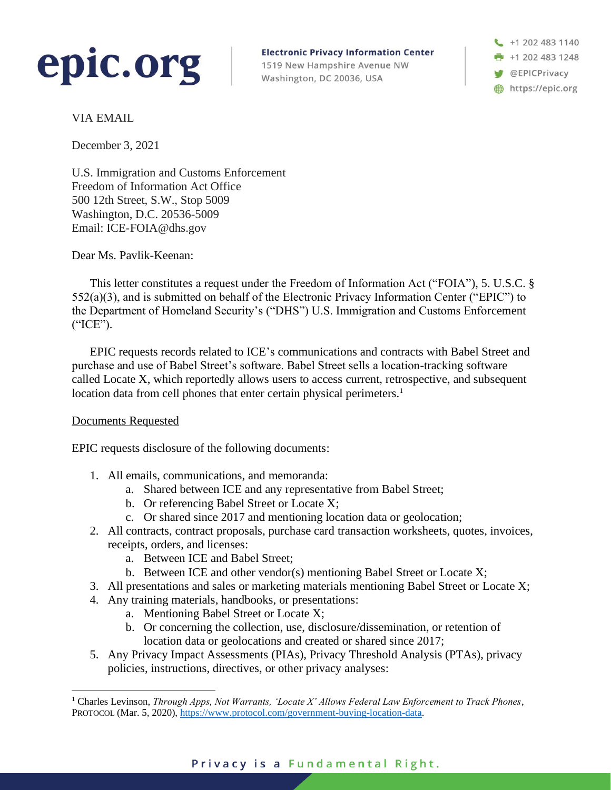

**Electronic Privacy Information Center** 1519 New Hampshire Avenue NW Washington, DC 20036, USA

+1 202 483 1140 +1 202 483 1248 **W** @EPICPrivacy https://epic.org

VIA EMAIL

December 3, 2021

U.S. Immigration and Customs Enforcement Freedom of Information Act Office 500 12th Street, S.W., Stop 5009 Washington, D.C. 20536-5009 Email: ICE-FOIA@dhs.gov

Dear Ms. Pavlik-Keenan:

This letter constitutes a request under the Freedom of Information Act ("FOIA"), 5. U.S.C. § 552(a)(3), and is submitted on behalf of the Electronic Privacy Information Center ("EPIC") to the Department of Homeland Security's ("DHS") U.S. Immigration and Customs Enforcement ("ICE").

EPIC requests records related to ICE's communications and contracts with Babel Street and purchase and use of Babel Street's software. Babel Street sells a location-tracking software called Locate X, which reportedly allows users to access current, retrospective, and subsequent location data from cell phones that enter certain physical perimeters.<sup>1</sup>

## Documents Requested

EPIC requests disclosure of the following documents:

- <span id="page-0-0"></span>1. All emails, communications, and memoranda:
	- a. Shared between ICE and any representative from Babel Street;
	- b. Or referencing Babel Street or Locate X;
	- c. Or shared since 2017 and mentioning location data or geolocation;
- 2. All contracts, contract proposals, purchase card transaction worksheets, quotes, invoices, receipts, orders, and licenses:
	- a. Between ICE and Babel Street;
	- b. Between ICE and other vendor(s) mentioning Babel Street or Locate X;
- 3. All presentations and sales or marketing materials mentioning Babel Street or Locate X;
- 4. Any training materials, handbooks, or presentations:
	- a. Mentioning Babel Street or Locate X;
	- b. Or concerning the collection, use, disclosure/dissemination, or retention of location data or geolocations and created or shared since 2017;
- 5. Any Privacy Impact Assessments (PIAs), Privacy Threshold Analysis (PTAs), privacy policies, instructions, directives, or other privacy analyses:

<sup>1</sup> Charles Levinson, *Through Apps, Not Warrants, 'Locate X' Allows Federal Law Enforcement to Track Phones*, PROTOCOL (Mar. 5, 2020)[, https://www.protocol.com/government-buying-location-data.](https://www.protocol.com/government-buying-location-data)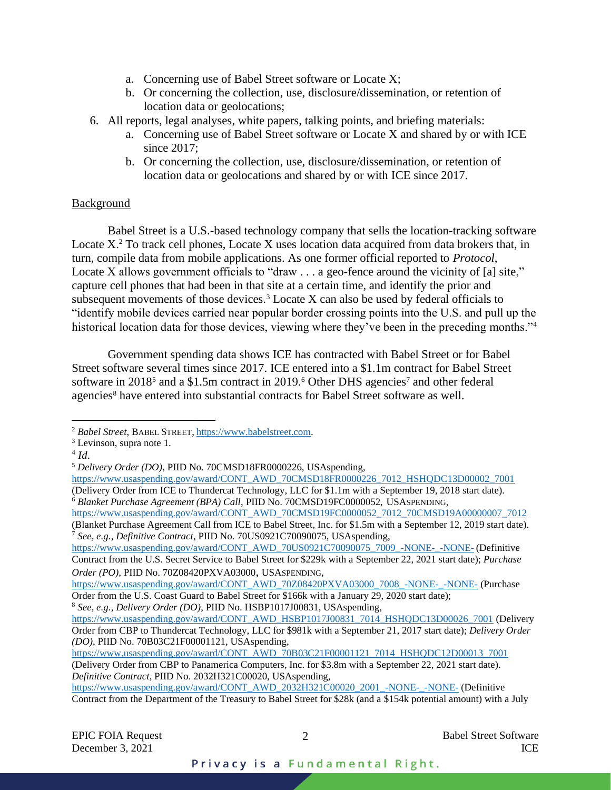- a. Concerning use of Babel Street software or Locate X;
- b. Or concerning the collection, use, disclosure/dissemination, or retention of location data or geolocations;
- 6. All reports, legal analyses, white papers, talking points, and briefing materials:
	- a. Concerning use of Babel Street software or Locate X and shared by or with ICE since 2017;
	- b. Or concerning the collection, use, disclosure/dissemination, or retention of location data or geolocations and shared by or with ICE since 2017.

## Background

Babel Street is a U.S.-based technology company that sells the location-tracking software Locate X<sup>2</sup> To track cell phones, Locate X uses location data acquired from data brokers that, in turn, compile data from mobile applications. As one former official reported to *Protocol*, Locate X allows government officials to "draw . . . a geo-fence around the vicinity of [a] site," capture cell phones that had been in that site at a certain time, and identify the prior and subsequent movements of those devices.<sup>3</sup> Locate X can also be used by federal officials to "identify mobile devices carried near popular border crossing points into the U.S. and pull up the historical location data for those devices, viewing where they've been in the preceding months."<sup>4</sup>

<span id="page-1-0"></span>Government spending data shows ICE has contracted with Babel Street or for Babel Street software several times since 2017. ICE entered into a \$1.1m contract for Babel Street software in 2018<sup>5</sup> and a \$1.5m contract in 2019.<sup>6</sup> Other DHS agencies<sup>7</sup> and other federal agencies<sup>8</sup> have entered into substantial contracts for Babel Street software as well.

<span id="page-1-1"></span><sup>2</sup> *Babel Street*, BABEL STREET, [https://www.babelstreet.com.](https://www.babelstreet.com/)

 $3$  Levinson, supra note [1.](#page-0-0)

<sup>4</sup> *Id*.

<sup>5</sup> *Delivery Order (DO)*, PIID No. 70CMSD18FR0000226, USAspending,

[https://www.usaspending.gov/award/CONT\\_AWD\\_70CMSD18FR0000226\\_7012\\_HSHQDC13D00002\\_7001](https://www.usaspending.gov/award/CONT_AWD_70CMSD18FR0000226_7012_HSHQDC13D00002_7001) (Delivery Order from ICE to Thundercat Technology, LLC for \$1.1m with a September 19, 2018 start date). <sup>6</sup> *Blanket Purchase Agreement (BPA) Call*, PIID No. 70CMSD19FC0000052, USASPENDING,

[https://www.usaspending.gov/award/CONT\\_AWD\\_70CMSD19FC0000052\\_7012\\_70CMSD19A00000007\\_7012](https://www.usaspending.gov/award/CONT_AWD_70CMSD19FC0000052_7012_70CMSD19A00000007_7012)\_ (Blanket Purchase Agreement Call from ICE to Babel Street, Inc. for \$1.5m with a September 12, 2019 start date). <sup>7</sup> *See, e.g.*, *Definitive Contract*, PIID No. 70US0921C70090075, USAspending,

[https://www.usaspending.gov/award/CONT\\_AWD\\_70US0921C70090075\\_7009\\_-NONE-\\_-NONE-](https://www.usaspending.gov/award/CONT_AWD_70US0921C70090075_7009_-NONE-_-NONE-) (Definitive Contract from the U.S. Secret Service to Babel Street for \$229k with a September 22, 2021 start date); *Purchase Order (PO)*, PIID No. 70Z08420PXVA03000, USASPENDING,

[https://www.usaspending.gov/award/CONT\\_AWD\\_70Z08420PXVA03000\\_7008\\_-NONE-\\_-NONE-](https://www.usaspending.gov/award/CONT_AWD_70Z08420PXVA03000_7008_-NONE-_-NONE-) (Purchase Order from the U.S. Coast Guard to Babel Street for \$166k with a January 29, 2020 start date); <sup>8</sup> *See, e.g.*, *Delivery Order (DO)*, PIID No. HSBP1017J00831, USAspending,

[https://www.usaspending.gov/award/CONT\\_AWD\\_HSBP1017J00831\\_7014\\_HSHQDC13D00026\\_7001](https://www.usaspending.gov/award/CONT_AWD_HSBP1017J00831_7014_HSHQDC13D00026_7001) (Delivery Order from CBP to Thundercat Technology, LLC for \$981k with a September 21, 2017 start date); *Delivery Order (DO)*, PIID No. 70B03C21F00001121, USAspending,

[https://www.usaspending.gov/award/CONT\\_AWD\\_70B03C21F00001121\\_7014\\_HSHQDC12D00013\\_7001](https://www.usaspending.gov/award/CONT_AWD_70B03C21F00001121_7014_HSHQDC12D00013_7001) (Delivery Order from CBP to Panamerica Computers, Inc. for \$3.8m with a September 22, 2021 start date). *Definitive Contract*, PIID No. 2032H321C00020, USAspending,

[https://www.usaspending.gov/award/CONT\\_AWD\\_2032H321C00020\\_2001\\_-NONE-\\_-NONE-](https://www.usaspending.gov/award/CONT_AWD_2032H321C00020_2001_-NONE-_-NONE-) (Definitive Contract from the Department of the Treasury to Babel Street for \$28k (and a \$154k potential amount) with a July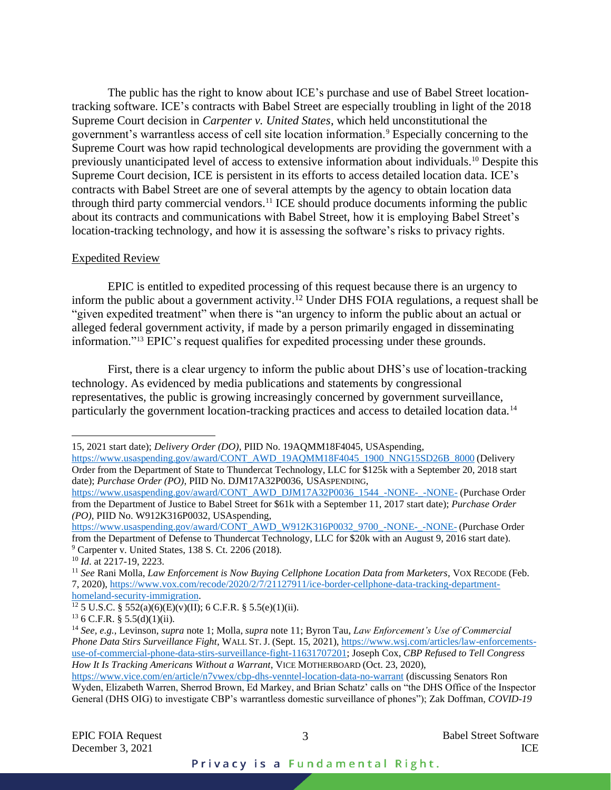The public has the right to know about ICE's purchase and use of Babel Street locationtracking software. ICE's contracts with Babel Street are especially troubling in light of the 2018 Supreme Court decision in *Carpenter v. United States*, which held unconstitutional the government's warrantless access of cell site location information.<sup>9</sup> Especially concerning to the Supreme Court was how rapid technological developments are providing the government with a previously unanticipated level of access to extensive information about individuals.<sup>10</sup> Despite this Supreme Court decision, ICE is persistent in its efforts to access detailed location data. ICE's contracts with Babel Street are one of several attempts by the agency to obtain location data through third party commercial vendors.<sup>11</sup> ICE should produce documents informing the public about its contracts and communications with Babel Street, how it is employing Babel Street's location-tracking technology, and how it is assessing the software's risks to privacy rights.

## <span id="page-2-0"></span>Expedited Review

EPIC is entitled to expedited processing of this request because there is an urgency to inform the public about a government activity. <sup>12</sup> Under DHS FOIA regulations, a request shall be "given expedited treatment" when there is "an urgency to inform the public about an actual or alleged federal government activity, if made by a person primarily engaged in disseminating information."<sup>13</sup> EPIC's request qualifies for expedited processing under these grounds.

First, there is a clear urgency to inform the public about DHS's use of location-tracking technology. As evidenced by media publications and statements by congressional representatives, the public is growing increasingly concerned by government surveillance, particularly the government location-tracking practices and access to detailed location data.<sup>14</sup>

<sup>15, 2021</sup> start date); *Delivery Order (DO)*, PIID No. 19AQMM18F4045, USAspending,

[https://www.usaspending.gov/award/CONT\\_AWD\\_19AQMM18F4045\\_1900\\_NNG15SD26B\\_8000](https://www.usaspending.gov/award/CONT_AWD_19AQMM18F4045_1900_NNG15SD26B_8000) (Delivery Order from the Department of State to Thundercat Technology, LLC for \$125k with a September 20, 2018 start date); *Purchase Order (PO)*, PIID No. DJM17A32P0036, USASPENDING,

[https://www.usaspending.gov/award/CONT\\_AWD\\_DJM17A32P0036\\_1544\\_-NONE-\\_-NONE-](https://www.usaspending.gov/award/CONT_AWD_DJM17A32P0036_1544_-NONE-_-NONE-) (Purchase Order from the Department of Justice to Babel Street for \$61k with a September 11, 2017 start date); *Purchase Order (PO)*, PIID No. W912K316P0032, USAspending,

[https://www.usaspending.gov/award/CONT\\_AWD\\_W912K316P0032\\_9700\\_-NONE-\\_-NONE-](https://www.usaspending.gov/award/CONT_AWD_W912K316P0032_9700_-NONE-_-NONE-) (Purchase Order from the Department of Defense to Thundercat Technology, LLC for \$20k with an August 9, 2016 start date). <sup>9</sup> Carpenter v. United States, 138 S. Ct. 2206 (2018).

<sup>10</sup> *Id*. at 2217-19, 2223.

<sup>11</sup> *See* Rani Molla, *Law Enforcement is Now Buying Cellphone Location Data from Marketers*, VOX RECODE (Feb. 7, 2020), [https://www.vox.com/recode/2020/2/7/21127911/ice-border-cellphone-data-tracking-department](https://www.vox.com/recode/2020/2/7/21127911/ice-border-cellphone-data-tracking-department-homeland-security-immigration)[homeland-security-immigration.](https://www.vox.com/recode/2020/2/7/21127911/ice-border-cellphone-data-tracking-department-homeland-security-immigration)

<sup>&</sup>lt;sup>12</sup> 5 U.S.C. § 552(a)(6)(E)(v)(II); 6 C.F.R. § 5.5(e)(1)(ii).

 $136$  C.F.R. § 5.5(d)(1)(ii).

<sup>14</sup> *See, e.g.*, Levinson, *supra* not[e 1;](#page-0-0) Molla, *supra* not[e 11;](#page-2-0) Byron Tau, *Law Enforcement's Use of Commercial Phone Data Stirs Surveillance Fight*, WALL ST. J. (Sept. 15, 2021), [https://www.wsj.com/articles/law-enforcements](https://www.wsj.com/articles/law-enforcements-use-of-commercial-phone-data-stirs-surveillance-fight-11631707201)[use-of-commercial-phone-data-stirs-surveillance-fight-11631707201;](https://www.wsj.com/articles/law-enforcements-use-of-commercial-phone-data-stirs-surveillance-fight-11631707201) Joseph Cox, *CBP Refused to Tell Congress How It Is Tracking Americans Without a Warrant*, VICE MOTHERBOARD (Oct. 23, 2020),

<https://www.vice.com/en/article/n7vwex/cbp-dhs-venntel-location-data-no-warrant> (discussing Senators Ron Wyden, Elizabeth Warren, Sherrod Brown, Ed Markey, and Brian Schatz' calls on "the DHS Office of the Inspector General (DHS OIG) to investigate CBP's warrantless domestic surveillance of phones"); Zak Doffman, *COVID-19*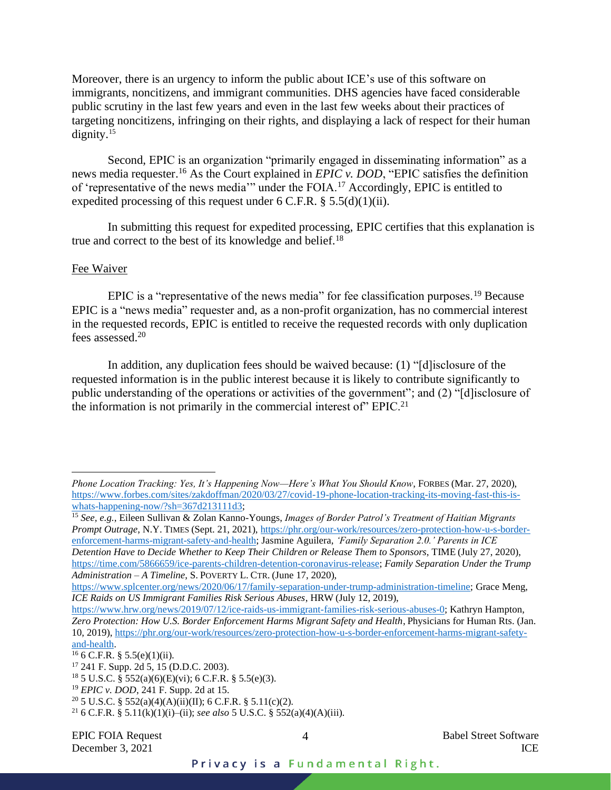Moreover, there is an urgency to inform the public about ICE's use of this software on immigrants, noncitizens, and immigrant communities. DHS agencies have faced considerable public scrutiny in the last few years and even in the last few weeks about their practices of targeting noncitizens, infringing on their rights, and displaying a lack of respect for their human dignity.<sup>15</sup>

Second, EPIC is an organization "primarily engaged in disseminating information" as a news media requester. <sup>16</sup> As the Court explained in *EPIC v. DOD*, "EPIC satisfies the definition of 'representative of the news media'" under the FOIA.<sup>17</sup> Accordingly, EPIC is entitled to expedited processing of this request under  $6 \text{ C.F.R.}$   $§ 5.5(d)(1)(ii)$ .

In submitting this request for expedited processing, EPIC certifies that this explanation is true and correct to the best of its knowledge and belief.<sup>18</sup>

#### Fee Waiver

EPIC is a "representative of the news media" for fee classification purposes.<sup>19</sup> Because EPIC is a "news media" requester and, as a non-profit organization, has no commercial interest in the requested records, EPIC is entitled to receive the requested records with only duplication fees assessed.<sup>20</sup>

In addition, any duplication fees should be waived because: (1) "[d]isclosure of the requested information is in the public interest because it is likely to contribute significantly to public understanding of the operations or activities of the government"; and (2) "[d]isclosure of the information is not primarily in the commercial interest of  $\mathrm{FPIC}.^{21}$ 

<sup>15</sup> *See, e.g.*, Eileen Sullivan & Zolan Kanno-Youngs, *Images of Border Patrol's Treatment of Haitian Migrants Prompt Outrage*, N.Y. TIMES (Sept. 21, 2021), [https://phr.org/our-work/resources/zero-protection-how-u-s-border](https://phr.org/our-work/resources/zero-protection-how-u-s-border-enforcement-harms-migrant-safety-and-health)[enforcement-harms-migrant-safety-and-health;](https://phr.org/our-work/resources/zero-protection-how-u-s-border-enforcement-harms-migrant-safety-and-health) Jasmine Aguilera, *'Family Separation 2.0.' Parents in ICE Detention Have to Decide Whether to Keep Their Children or Release Them to Sponsors*, TIME (July 27, 2020), [https://time.com/5866659/ice-parents-children-detention-coronavirus-release;](https://time.com/5866659/ice-parents-children-detention-coronavirus-release) *Family Separation Under the Trump Administration – A Timeline*, S.POVERTY L. CTR. (June 17, 2020),

[https://www.splcenter.org/news/2020/06/17/family-separation-under-trump-administration-timeline;](https://www.splcenter.org/news/2020/06/17/family-separation-under-trump-administration-timeline) Grace Meng, *ICE Raids on US Immigrant Families Risk Serious Abuses*, HRW (July 12, 2019),

*Phone Location Tracking: Yes, It's Happening Now—Here's What You Should Know*, FORBES (Mar. 27, 2020), [https://www.forbes.com/sites/zakdoffman/2020/03/27/covid-19-phone-location-tracking-its-moving-fast-this-is](https://www.forbes.com/sites/zakdoffman/2020/03/27/covid-19-phone-location-tracking-its-moving-fast-this-is-whats-happening-now/?sh=367d213111d3)[whats-happening-now/?sh=367d213111d3;](https://www.forbes.com/sites/zakdoffman/2020/03/27/covid-19-phone-location-tracking-its-moving-fast-this-is-whats-happening-now/?sh=367d213111d3)

[https://www.hrw.org/news/2019/07/12/ice-raids-us-immigrant-families-risk-serious-abuses-0;](https://www.hrw.org/news/2019/07/12/ice-raids-us-immigrant-families-risk-serious-abuses-0) Kathryn Hampton, Zero Protection: How U.S. Border Enforcement Harms Migrant Safety and Health, Physicians for Human Rts. (Jan. 10, 2019), [https://phr.org/our-work/resources/zero-protection-how-u-s-border-enforcement-harms-migrant-safety](https://phr.org/our-work/resources/zero-protection-how-u-s-border-enforcement-harms-migrant-safety-and-health)[and-health.](https://phr.org/our-work/resources/zero-protection-how-u-s-border-enforcement-harms-migrant-safety-and-health)

 $16$  6 C.F.R. § 5.5(e)(1)(ii).

<sup>17</sup> 241 F. Supp. 2d 5, 15 (D.D.C. 2003).

<sup>&</sup>lt;sup>18</sup> 5 U.S.C.  $\frac{5}{9}$  552(a)(6)(E)(vi); 6 C.F.R.  $\frac{6}{9}$  5.5(e)(3).

<sup>19</sup> *EPIC v. DOD*, 241 F. Supp. 2d at 15.

<sup>&</sup>lt;sup>20</sup> 5 U.S.C. § 552(a)(4)(A)(ii)(II); 6 C.F.R. § 5.11(c)(2).

<sup>&</sup>lt;sup>21</sup> 6 C.F.R. § 5.11(k)(1)(i)–(ii); *see also* 5 U.S.C. § 552(a)(4)(A)(iii).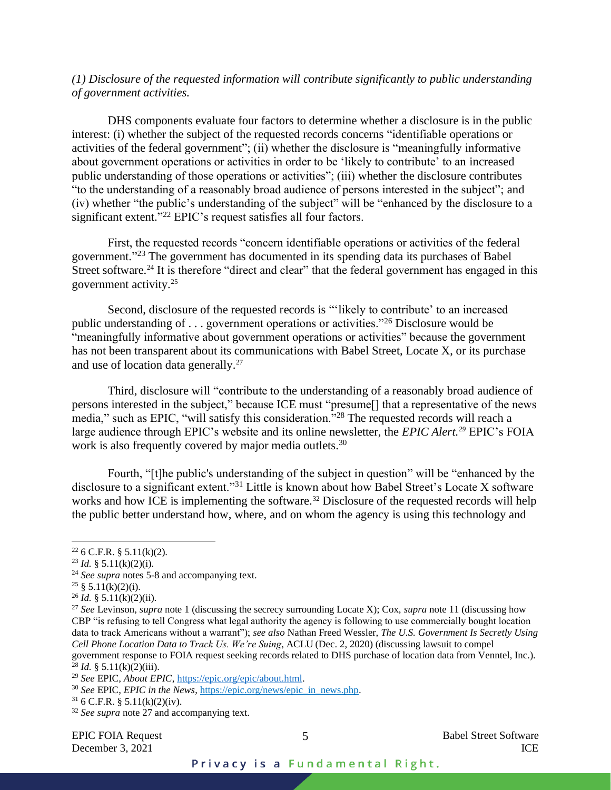# *(1) Disclosure of the requested information will contribute significantly to public understanding of government activities.*

DHS components evaluate four factors to determine whether a disclosure is in the public interest: (i) whether the subject of the requested records concerns "identifiable operations or activities of the federal government"; (ii) whether the disclosure is "meaningfully informative about government operations or activities in order to be 'likely to contribute' to an increased public understanding of those operations or activities"; (iii) whether the disclosure contributes "to the understanding of a reasonably broad audience of persons interested in the subject"; and (iv) whether "the public's understanding of the subject" will be "enhanced by the disclosure to a significant extent."<sup>22</sup> EPIC's request satisfies all four factors.

First, the requested records "concern identifiable operations or activities of the federal government." <sup>23</sup> The government has documented in its spending data its purchases of Babel Street software.<sup>24</sup> It is therefore "direct and clear" that the federal government has engaged in this government activity.<sup>25</sup>

Second, disclosure of the requested records is "'likely to contribute' to an increased public understanding of . . . government operations or activities."<sup>26</sup> Disclosure would be "meaningfully informative about government operations or activities" because the government has not been transparent about its communications with Babel Street, Locate X, or its purchase and use of location data generally. 27

<span id="page-4-0"></span>Third, disclosure will "contribute to the understanding of a reasonably broad audience of persons interested in the subject," because ICE must "presume[] that a representative of the news media," such as EPIC, "will satisfy this consideration."<sup>28</sup> The requested records will reach a large audience through EPIC's website and its online newsletter, the *EPIC Alert.<sup>29</sup>* EPIC's FOIA work is also frequently covered by major media outlets.<sup>30</sup>

Fourth, "[t]he public's understanding of the subject in question" will be "enhanced by the disclosure to a significant extent."<sup>31</sup> Little is known about how Babel Street's Locate X software works and how ICE is implementing the software.<sup>32</sup> Disclosure of the requested records will help the public better understand how, where, and on whom the agency is using this technology and

 $31$  6 C.F.R. § 5.11(k)(2)(iv).

EPIC FOIA Request 5 5 Babel Street Software December 3, 2021 ICE

 $22$  6 C.F.R. § 5.11(k)(2).

<sup>&</sup>lt;sup>23</sup> *Id.* § 5.11(k)(2)(i).

<sup>24</sup> *See supra* notes [5](#page-1-0)[-8](#page-1-1) and accompanying text.

<sup>&</sup>lt;sup>25</sup> § 5.11(k)(2)(i).

 $^{26}$  *Id.* § 5.11(k)(2)(ii).

<sup>27</sup> *See* Levinson, *supra* not[e 1](#page-0-0) (discussing the secrecy surrounding Locate X); Cox, *supra* note [11](#page-2-0) (discussing how CBP "is refusing to tell Congress what legal authority the agency is following to use commercially bought location data to track Americans without a warrant"); *see also* Nathan Freed Wessler, *The U.S. Government Is Secretly Using Cell Phone Location Data to Track Us. We're Suing*, ACLU (Dec. 2, 2020) (discussing lawsuit to compel government response to FOIA request seeking records related to DHS purchase of location data from Venntel, Inc.). <sup>28</sup> *Id.* § 5.11(k)(2)(iii).

<sup>29</sup> *See* EPIC, *About EPIC*[, https://epic.org/epic/about.html.](https://epic.org/epic/about.html)

<sup>30</sup> *See* EPIC, *EPIC in the News*[, https://epic.org/news/epic\\_in\\_news.php.](https://epic.org/news/epic_in_news.php/)

<sup>32</sup> *See supra* not[e 27](#page-4-0) and accompanying text.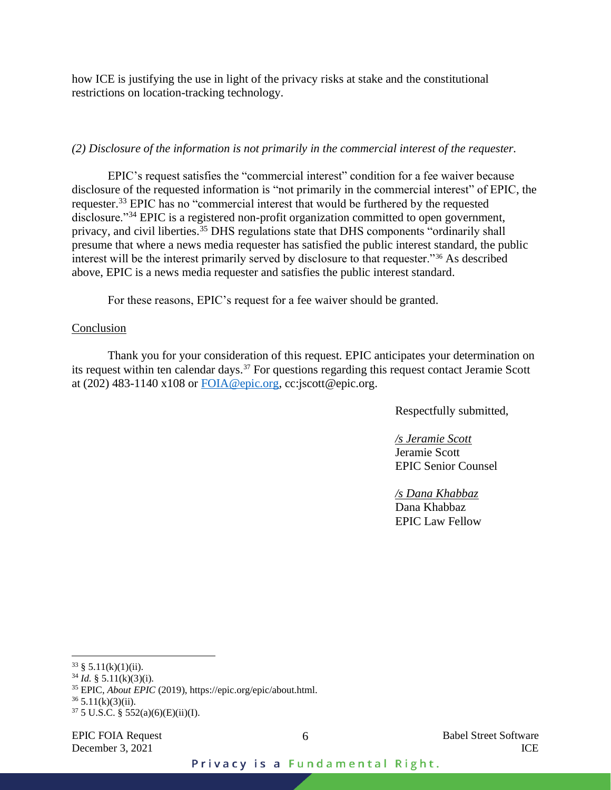how ICE is justifying the use in light of the privacy risks at stake and the constitutional restrictions on location-tracking technology.

### *(2) Disclosure of the information is not primarily in the commercial interest of the requester.*

EPIC's request satisfies the "commercial interest" condition for a fee waiver because disclosure of the requested information is "not primarily in the commercial interest" of EPIC, the requester.<sup>33</sup> EPIC has no "commercial interest that would be furthered by the requested disclosure."<sup>34</sup> EPIC is a registered non-profit organization committed to open government, privacy, and civil liberties.<sup>35</sup> DHS regulations state that DHS components "ordinarily shall presume that where a news media requester has satisfied the public interest standard, the public interest will be the interest primarily served by disclosure to that requester."<sup>36</sup> As described above, EPIC is a news media requester and satisfies the public interest standard.

For these reasons, EPIC's request for a fee waiver should be granted.

### Conclusion

Thank you for your consideration of this request. EPIC anticipates your determination on its request within ten calendar days.<sup>37</sup> For questions regarding this request contact Jeramie Scott at (202) 483-1140 x108 or  $\overline{FOIA@epic.org}$ , cc:jscott@epic.org.

Respectfully submitted,

*/s Jeramie Scott* Jeramie Scott EPIC Senior Counsel

*/s Dana Khabbaz*  Dana Khabbaz EPIC Law Fellow

 $33 \S 5.11(k)(1)(ii)$ .

 $34$  *Id.* § 5.11(k)(3)(i).

<sup>35</sup> EPIC, *About EPIC* (2019), https://epic.org/epic/about.html.

 $36$  5.11(k)(3)(ii).

 $37\,5$  U.S.C. § 552(a)(6)(E)(ii)(I).